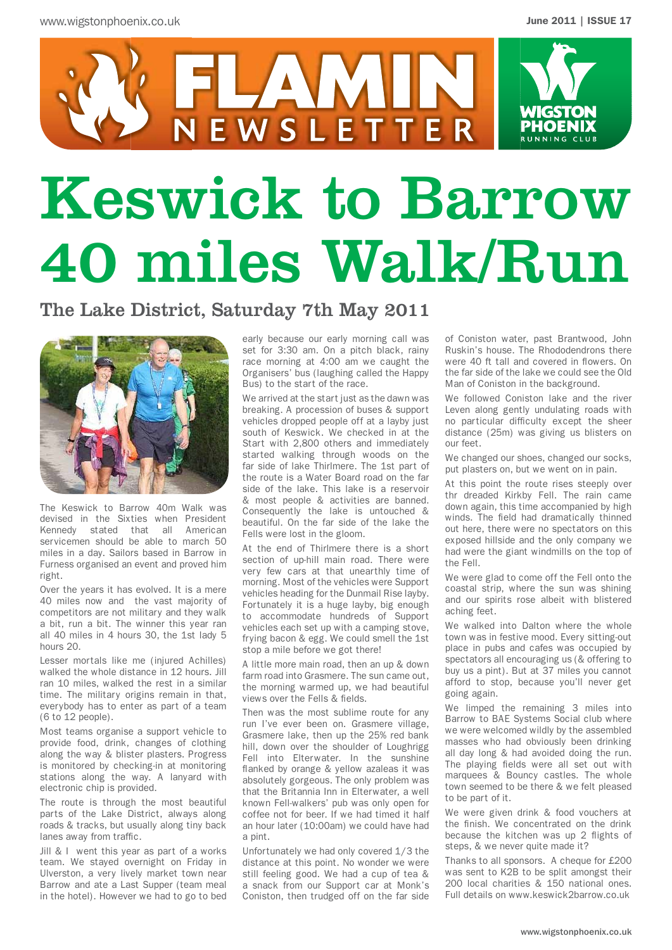

# Keswick to Barrow 40 miles Walk/Run

### The Lake District, Saturday 7th May 2011



The Keswick to Barrow 40m Walk was devised in the Sixties when President Kennedy stated that all American servicemen should be able to march 50 miles in a day. Sailors based in Barrow in Furness organised an event and proved him right.

Over the years it has evolved. It is a mere 40 miles now and the vast majority of competitors are not military and they walk a bit, run a bit. The winner this year ran all 40 miles in 4 hours 30, the 1st lady 5 hours 20.

Lesser mortals like me (injured Achilles) walked the whole distance in 12 hours. Jill ran 10 miles, walked the rest in a similar time. The military origins remain in that, everybody has to enter as part of a team (6 to 12 people).

Most teams organise a support vehicle to provide food, drink, changes of clothing along the way & blister plasters. Progress is monitored by checking-in at monitoring stations along the way. A lanyard with electronic chip is provided.

The route is through the most beautiful parts of the Lake District, always along roads & tracks, but usually along tiny back lanes away from traffic.

Jill & I went this year as part of a works team. We stayed overnight on Friday in Ulverston, a very lively market town near Barrow and ate a Last Supper (team meal in the hotel). However we had to go to bed

early because our early morning call was set for 3:30 am. On a pitch black, rainy race morning at 4:00 am we caught the Organisers' bus (laughing called the Happy Bus) to the start of the race.

We arrived at the start just as the dawn was breaking. A procession of buses & support vehicles dropped people off at a layby just south of Keswick. We checked in at the Start with 2,800 others and immediately started walking through woods on the far side of lake Thirlmere. The 1st part of the route is a Water Board road on the far side of the lake. This lake is a reservoir & most people & activities are banned. Consequently the lake is untouched & beautiful. On the far side of the lake the Fells were lost in the gloom.

At the end of Thirlmere there is a short section of up-hill main road. There were very few cars at that unearthly time of morning. Most of the vehicles were Support vehicles heading for the Dunmail Rise layby. Fortunately it is a huge layby, big enough to accommodate hundreds of Support vehicles each set up with a camping stove, frying bacon & egg. We could smell the 1st stop a mile before we got there!

A little more main road, then an up & down farm road into Grasmere. The sun came out, the morning warmed up, we had beautiful views over the Fells & fields.

Then was the most sublime route for any run I've ever been on. Grasmere village, Grasmere lake, then up the 25% red bank hill, down over the shoulder of Loughrigg Fell into Elterwater. In the sunshine flanked by orange & yellow azaleas it was absolutely gorgeous. The only problem was that the Britannia Inn in Elterwater, a well known Fell-walkers' pub was only open for coffee not for beer. If we had timed it half an hour later (10:00am) we could have had a nint.

Unfortunately we had only covered 1/3 the distance at this point. No wonder we were still feeling good. We had a cup of tea & a snack from our Support car at Monk's Coniston, then trudged off on the far side

of Coniston water, past Brantwood, John Ruskin's house. The Rhododendrons there were 40 ft tall and covered in flowers. On the far side of the lake we could see the Old Man of Coniston in the background.

We followed Coniston lake and the river Leven along gently undulating roads with no particular difficulty except the sheer distance (25m) was giving us blisters on our feet.

We changed our shoes, changed our socks, put plasters on, but we went on in pain.

At this point the route rises steeply over thr dreaded Kirkby Fell. The rain came down again, this time accompanied by high winds. The field had dramatically thinned out here, there were no spectators on this exposed hillside and the only company we had were the giant windmills on the top of the Fell.

We were glad to come off the Fell onto the coastal strip, where the sun was shining and our spirits rose albeit with blistered aching feet.

We walked into Dalton where the whole town was in festive mood. Every sitting-out place in pubs and cafes was occupied by spectators all encouraging us (& offering to buy us a pint). But at 37 miles you cannot afford to stop, because you'll never get going again.

We limped the remaining 3 miles into Barrow to BAE Systems Social club where we were welcomed wildly by the assembled masses who had obviously been drinking all day long & had avoided doing the run. The playing fields were all set out with marquees & Bouncy castles. The whole town seemed to be there & we felt pleased to be part of it.

We were given drink & food vouchers at the finish. We concentrated on the drink because the kitchen was up 2 flights of steps, & we never quite made it?

Thanks to all sponsors. A cheque for £200 was sent to K2B to be split amongst their 200 local charities & 150 national ones. Full details on www.keswick2barrow.co.uk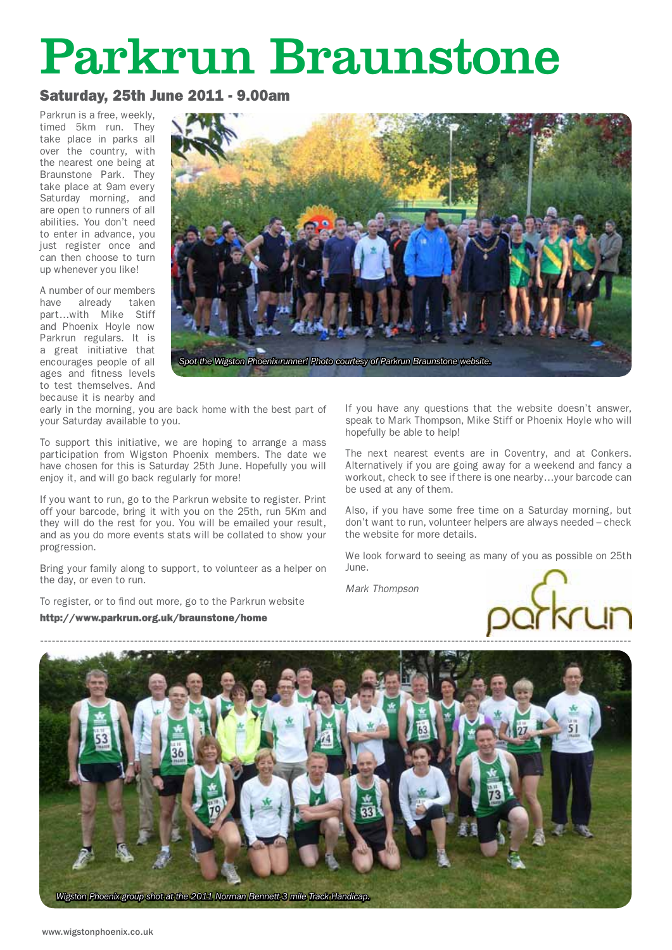## Parkrun Braunstone

#### Saturday, 25th June 2011 - 9.00am

Parkrun is a free, weekly, timed 5km run. They take place in parks all over the country, with the nearest one being at Braunstone Park. They take place at 9am every Saturday morning, and are open to runners of all abilities. You don't need to enter in advance, you just register once and can then choose to turn up whenever you like!

A number of our members have already taken part…with Mike Stiff and Phoenix Hoyle now Parkrun regulars. It is a great initiative that encourages people of all ages and fitness levels to test themselves. And because it is nearby and



early in the morning, you are back home with the best part of your Saturday available to you.

To support this initiative, we are hoping to arrange a mass participation from Wigston Phoenix members. The date we have chosen for this is Saturday 25th June. Hopefully you will enjoy it, and will go back regularly for more!

If you want to run, go to the Parkrun website to register. Print off your barcode, bring it with you on the 25th, run 5Km and they will do the rest for you. You will be emailed your result, and as you do more events stats will be collated to show your progression.

Bring your family along to support, to volunteer as a helper on the day, or even to run.

To register, or to find out more, go to the Parkrun website

http://www.parkrun.org.uk/braunstone/home

If you have any questions that the website doesn't answer, speak to Mark Thompson, Mike Stiff or Phoenix Hoyle who will hopefully be able to help!

The next nearest events are in Coventry, and at Conkers. Alternatively if you are going away for a weekend and fancy a workout, check to see if there is one nearby…your barcode can be used at any of them.

Also, if you have some free time on a Saturday morning, but don't want to run, volunteer helpers are always needed – check the website for more details.

We look forward to seeing as many of you as possible on 25th June.

*Mark Thompson*



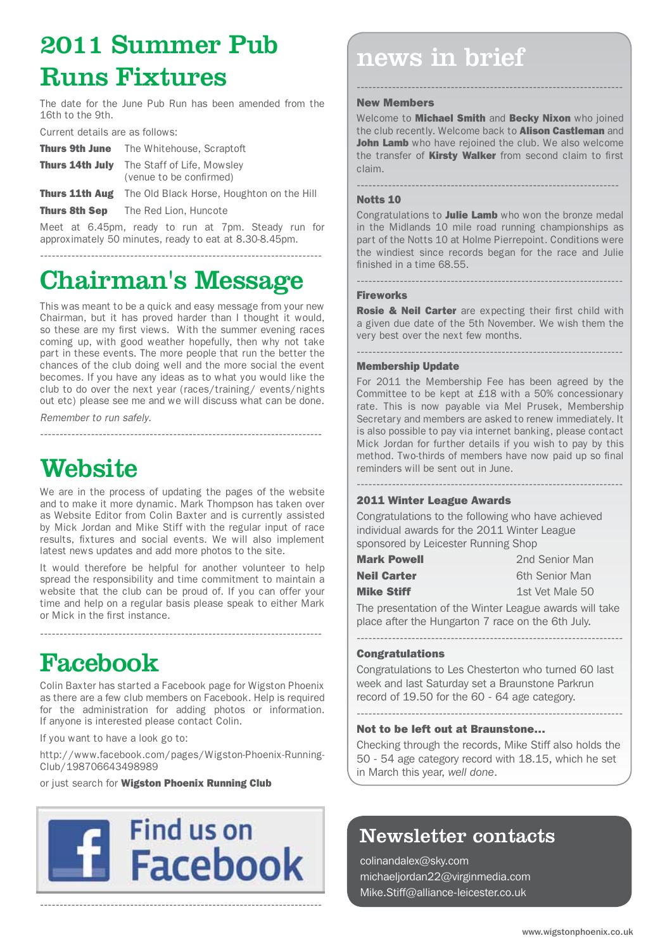## 2011 Summer Pub Runs Fixtures

The date for the June Pub Run has been amended from the 16th to the 9th.

Current details are as follows:

| Thurs 9th June | The Whitehouse, Scraptoft                                                    |
|----------------|------------------------------------------------------------------------------|
|                | <b>Thurs 14th July</b> The Staff of Life, Mowsley<br>(venue to be confirmed) |
|                | <b>Thurs 11th Aug</b> The Old Black Horse, Houghton on the Hill              |

Thurs 8th Sep The Red Lion, Huncote

Meet at 6.45pm, ready to run at 7pm. Steady run for approximately 50 minutes, ready to eat at 8.30-8.45pm.

------------------------------------------------------------------------

## Chairman's Message

This was meant to be a quick and easy message from your new Chairman, but it has proved harder than I thought it would, so these are my first views. With the summer evening races coming up, with good weather hopefully, then why not take part in these events. The more people that run the better the chances of the club doing well and the more social the event becomes. If you have any ideas as to what you would like the club to do over the next year (races/training/ events/nights out etc) please see me and we will discuss what can be done.

------------------------------------------------------------------------

*Remember to run safely.*

## **Website**

We are in the process of updating the pages of the website and to make it more dynamic. Mark Thompson has taken over as Website Editor from Colin Baxter and is currently assisted by Mick Jordan and Mike Stiff with the regular input of race results, fixtures and social events. We will also implement latest news updates and add more photos to the site.

It would therefore be helpful for another volunteer to help spread the responsibility and time commitment to maintain a website that the club can be proud of. If you can offer your time and help on a regular basis please speak to either Mark or Mick in the first instance.

------------------------------------------------------------------------

## Facebook

Colin Baxter has started a Facebook page for Wigston Phoenix as there are a few club members on Facebook. Help is required for the administration for adding photos or information. If anyone is interested please contact Colin.

If you want to have a look go to:

http://www.facebook.com/pages/Wigston-Phoenix-Running-Club/198706643498989

or just search for Wigston Phoenix Running Club



------------------------------------------------------------------------

## news in brief

#### New Members

Welcome to **Michael Smith** and **Becky Nixon** who joined the club recently. Welcome back to **Alison Castleman** and John Lamb who have rejoined the club. We also welcome the transfer of **Kirsty Walker** from second claim to first claim.

-------------------------------------------------------------------

--------------------------------------------------------------------

Notts 10

Congratulations to Julie Lamb who won the bronze medal in the Midlands 10 mile road running championships as part of the Notts 10 at Holme Pierrepoint. Conditions were the windiest since records began for the race and Julie finished in a time 68.55.

#### Fireworks

Rosie & Neil Carter are expecting their first child with a given due date of the 5th November. We wish them the very best over the next few months.

--------------------------------------------------------------------

--------------------------------------------------------------------

#### Membership Update

For 2011 the Membership Fee has been agreed by the Committee to be kept at £18 with a 50% concessionary rate. This is now payable via Mel Prusek, Membership Secretary and members are asked to renew immediately. It is also possible to pay via internet banking, please contact Mick Jordan for further details if you wish to pay by this method. Two-thirds of members have now paid up so final reminders will be sent out in June.

--------------------------------------------------------------------

#### 2011 Winter League Awards

Congratulations to the following who have achieved individual awards for the 2011 Winter League sponsored by Leicester Running Shop

| <b>Mark Powell</b> | 2nd Senior Man  |
|--------------------|-----------------|
| <b>Neil Carter</b> | 6th Senior Man  |
| <b>Mike Stiff</b>  | 1st Vet Male 50 |

--------------------------------------------------------------------

The presentation of the Winter League awards will take place after the Hungarton 7 race on the 6th July.

#### **Congratulations**

Congratulations to Les Chesterton who turned 60 last week and last Saturday set a Braunstone Parkrun record of 19.50 for the 60 - 64 age category.

#### Not to be left out at Braunstone…

Checking through the records, Mike Stiff also holds the 50 - 54 age category record with 18.15, which he set in March this year, *well done*.

## Newsletter contacts

colinandalex@sky.com michaeljordan22@virginmedia.com Mike.Stiff@alliance-leicester.co.uk